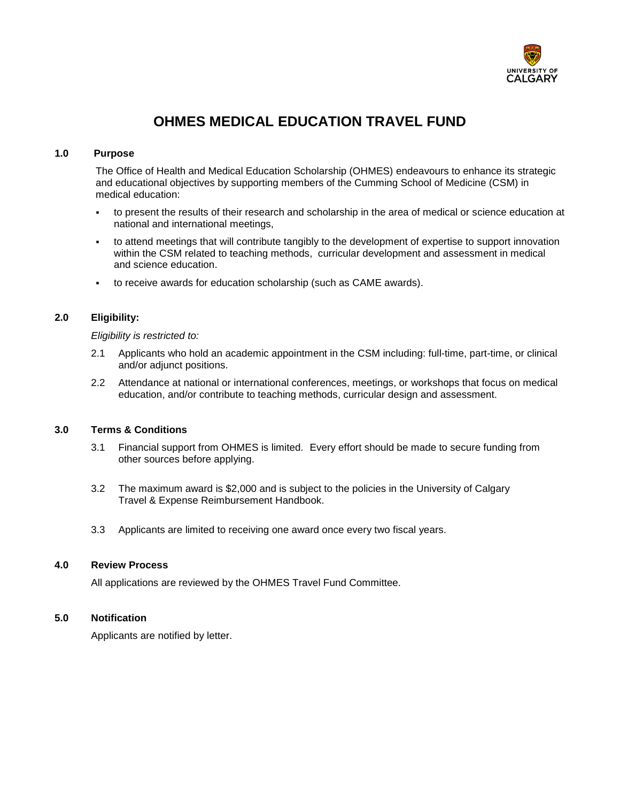

# **OHMES MEDICAL EDUCATION TRAVEL FUND**

## **1.0 Purpose**

The Office of Health and Medical Education Scholarship (OHMES) endeavours to enhance its strategic and educational objectives by supporting members of the Cumming School of Medicine (CSM) in medical education:

- to present the results of their research and scholarship in the area of medical or science education at national and international meetings,
- to attend meetings that will contribute tangibly to the development of expertise to support innovation within the CSM related to teaching methods, curricular development and assessment in medical and science education.
- to receive awards for education scholarship (such as CAME awards).

## **2.0 Eligibility:**

#### *Eligibility is restricted to:*

- 2.1 Applicants who hold an academic appointment in the CSM including: full-time, part-time, or clinical and/or adjunct positions.
- 2.2 Attendance at national or international conferences, meetings, or workshops that focus on medical education, and/or contribute to teaching methods, curricular design and assessment.

## **3.0 Terms & Conditions**

- 3.1 Financial support from OHMES is limited. Every effort should be made to secure funding from other sources before applying.
- 3.2 The maximum award is \$2,000 and is subject to the policies in the University of Calgary Travel & Expense Reimbursement Handbook.
- 3.3 Applicants are limited to receiving one award once every two fiscal years.

#### **4.0 Review Process**

All applications are reviewed by the OHMES Travel Fund Committee.

## **5.0 Notification**

Applicants are notified by letter.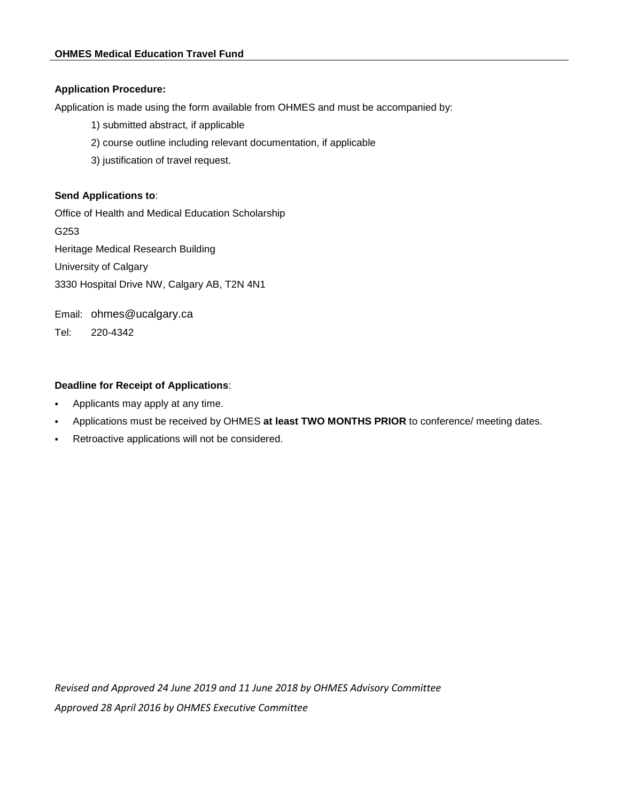## **Application Procedure:**

Application is made using the form available from OHMES and must be accompanied by:

- 1) submitted abstract, if applicable
- 2) course outline including relevant documentation, if applicable
- 3) justification of travel request.

# **Send Applications to**:

Office of Health and Medical Education Scholarship G253 Heritage Medical Research Building University of Calgary 3330 Hospital Drive NW, Calgary AB, T2N 4N1

Email: ohmes@ucalgary.ca

Tel: 220-4342

# **Deadline for Receipt of Applications**:

- Applicants may apply at any time.
- Applications must be received by OHMES **at least TWO MONTHS PRIOR** to conference/ meeting dates.
- Retroactive applications will not be considered.

*Revised and Approved 24 June 2019 and 11 June 2018 by OHMES Advisory Committee Approved 28 April 2016 by OHMES Executive Committee*